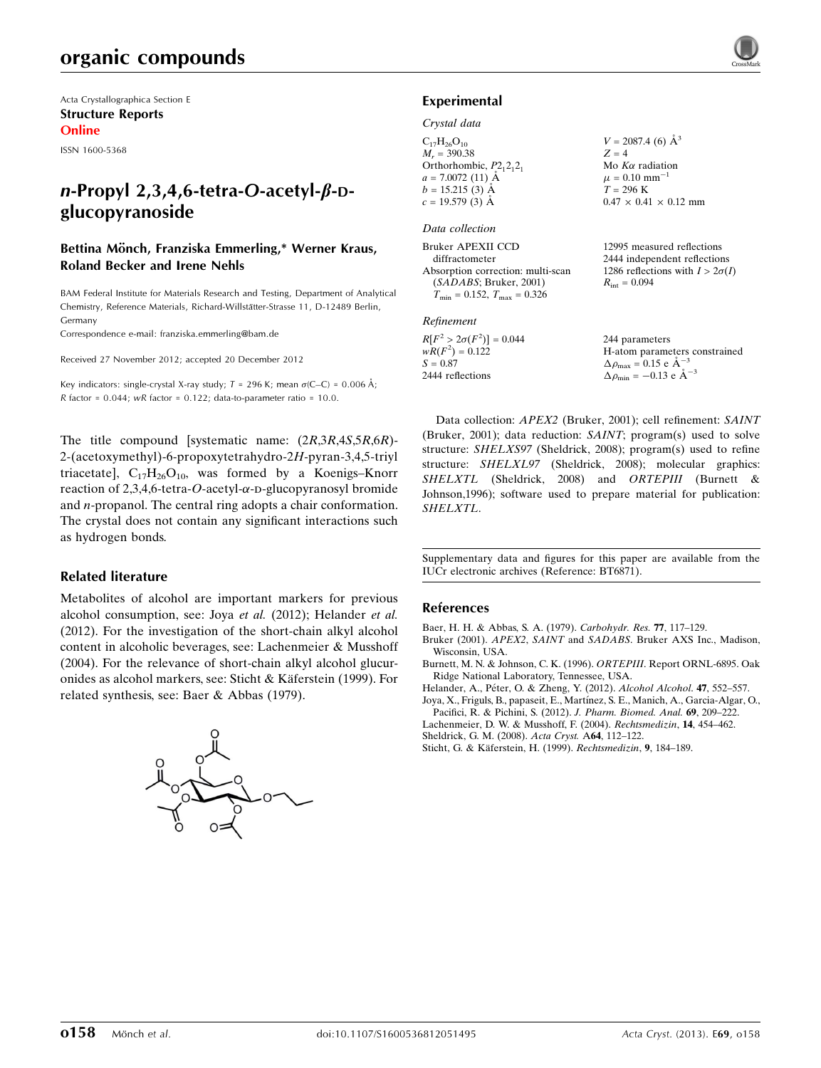Acta Crystallographica Section E Structure Reports Online

ISSN 1600-5368

# $n$ -Propyl 2,3,4,6-tetra-O-acetyl- $\beta$ -Dglucopyranoside

## Bettina Mönch, Franziska Emmerling,\* Werner Kraus, Roland Becker and Irene Nehls

BAM Federal Institute for Materials Research and Testing, Department of Analytical Chemistry, Reference Materials, Richard-Willstätter-Strasse 11, D-12489 Berlin, Germany

Correspondence e-mail: [franziska.emmerling@bam.de](https://scripts.iucr.org/cgi-bin/cr.cgi?rm=pdfbb&cnor=bt6871&bbid=BB8)

Received 27 November 2012; accepted 20 December 2012

Key indicators: single-crystal X-ray study;  $T = 296$  K; mean  $\sigma$ (C–C) = 0.006 Å; R factor =  $0.044$ ; wR factor =  $0.122$ ; data-to-parameter ratio =  $10.0$ .

The title compound [systematic name: (2R,3R,4S,5R,6R)- 2-(acetoxymethyl)-6-propoxytetrahydro-2H-pyran-3,4,5-triyl triacetate],  $C_{17}H_{26}O_{10}$ , was formed by a Koenigs–Knorr reaction of 2,3,4,6-tetra-O-acetyl- $\alpha$ -D-glucopyranosyl bromide and n-propanol. The central ring adopts a chair conformation. The crystal does not contain any significant interactions such as hydrogen bonds.

### Related literature

Metabolites of alcohol are important markers for previous alcohol consumption, see: Joya et al. (2012); Helander et al. (2012). For the investigation of the short-chain alkyl alcohol content in alcoholic beverages, see: Lachenmeier & Musshoff (2004). For the relevance of short-chain alkyl alcohol glucuronides as alcohol markers, see: Sticht & Käferstein (1999). For related synthesis, see: Baer & Abbas (1979).



### Experimental

#### Crystal data

 $C_{17}H_{26}O_{10}$  $M_r = 390.38$ Orthorhombic,  $P2_12_12_1$  $a = 7.0072(11)$  Å  $b = 15.215(3)$  Å  $c = 19.579(3)$  Å  $V = 2087.4$  (6)  $\AA^3$  $Z = 4$ Mo  $K\alpha$  radiation  $\mu = 0.10$  mm<sup>-1</sup>  $T = 296 \text{ K}$  $0.47 \times 0.41 \times 0.12$  mm

#### Data collection

Bruker APEXII CCD diffractometer Absorption correction: multi-scan (SADABS; Bruker, 2001)  $T_{\text{min}} = 0.152, T_{\text{max}} = 0.326$ 12995 measured reflections 2444 independent reflections 1286 reflections with  $I > 2\sigma(I)$  $R_{\text{int}} = 0.094$ 

#### Refinement

 $R[F^2 > 2\sigma(F^2)] = 0.044$  $wR(F^2) = 0.122$  $S = 0.87$ 2444 reflections  $\Delta \rho_{\text{max}} = 0.15 \text{ e A}^{-}$  $\Delta \rho_{\text{min}} = -0.13 \text{ e } \text{\AA}^{-3}$ 

244 parameters H-atom parameters constrained 3

1

Data collection: APEX2 (Bruker, 2001); cell refinement: SAINT (Bruker, 2001); data reduction: SAINT; program(s) used to solve structure: SHELXS97 (Sheldrick, 2008); program(s) used to refine structure: SHELXL97 (Sheldrick, 2008); molecular graphics: SHELXTL (Sheldrick, 2008) and ORTEPIII (Burnett & Johnson,1996); software used to prepare material for publication: SHELXTL.

Supplementary data and figures for this paper are available from the IUCr electronic archives (Reference: BT6871).

#### References

[Baer, H. H. & Abbas, S. A. \(1979\).](https://scripts.iucr.org/cgi-bin/cr.cgi?rm=pdfbb&cnor=bt6871&bbid=BB1) Carbohydr. Res. 77, 117–129.

- Bruker (2001). APEX2, SAINT and SADABS[. Bruker AXS Inc., Madison,](https://scripts.iucr.org/cgi-bin/cr.cgi?rm=pdfbb&cnor=bt6871&bbid=BB2) [Wisconsin, USA.](https://scripts.iucr.org/cgi-bin/cr.cgi?rm=pdfbb&cnor=bt6871&bbid=BB2)
- [Burnett, M. N. & Johnson, C. K. \(1996\).](https://scripts.iucr.org/cgi-bin/cr.cgi?rm=pdfbb&cnor=bt6871&bbid=BB3) ORTEPIII. Report ORNL-6895. Oak [Ridge National Laboratory, Tennessee, USA.](https://scripts.iucr.org/cgi-bin/cr.cgi?rm=pdfbb&cnor=bt6871&bbid=BB3)
- Helander, A., Péter, O. & Zheng, Y. (2012). Alcohol Alcohol. 47, 552-557.
- Joya, X., Friguls, B., papaseit, E., Martínez, S. E., Manich, A., Garcia-Algar, O., [Pacifici, R. & Pichini, S. \(2012\).](https://scripts.iucr.org/cgi-bin/cr.cgi?rm=pdfbb&cnor=bt6871&bbid=BB5) J. Pharm. Biomed. Anal. 69, 209–222.
- [Lachenmeier, D. W. & Musshoff, F. \(2004\).](https://scripts.iucr.org/cgi-bin/cr.cgi?rm=pdfbb&cnor=bt6871&bbid=BB6) Rechtsmedizin, 14, 454–462.

[Sheldrick, G. M. \(2008\).](https://scripts.iucr.org/cgi-bin/cr.cgi?rm=pdfbb&cnor=bt6871&bbid=BB7) Acta Cryst. A64, 112–122.

Sticht, G. & Käferstein, H. (1999). Rechtsmedizin, 9, 184-189.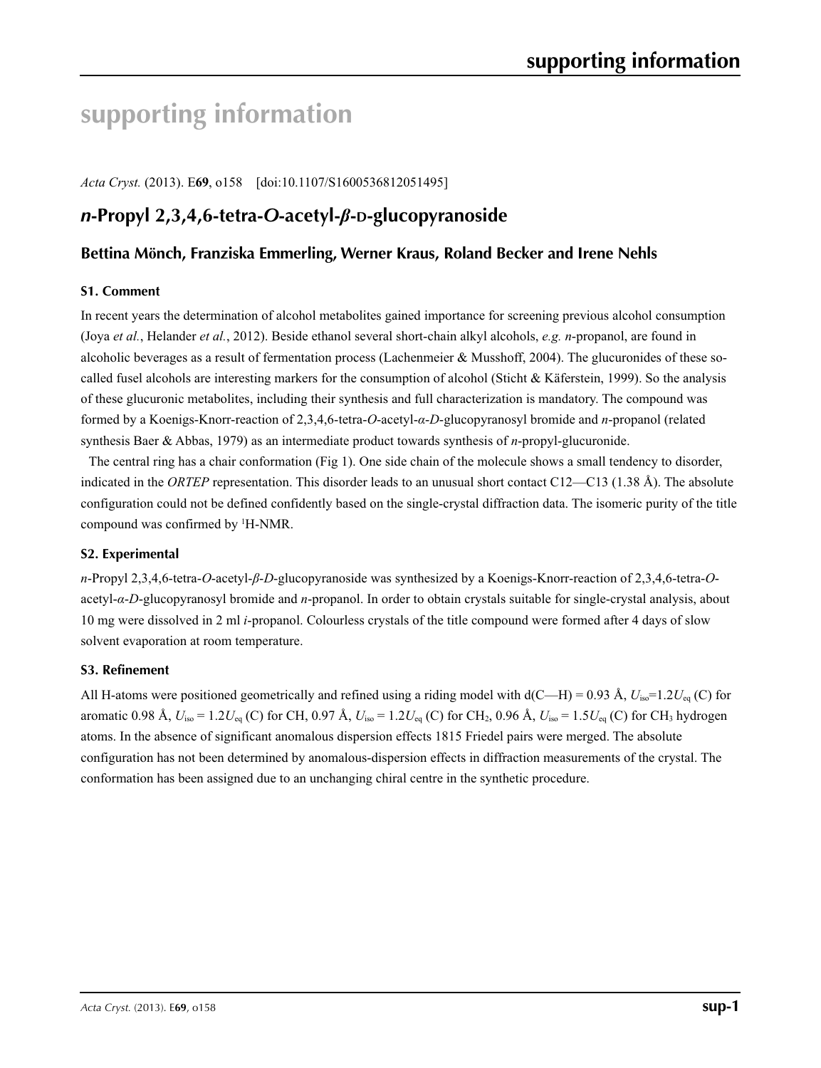# **supporting information**

*Acta Cryst.* (2013). E**69**, o158 [doi:10.1107/S1600536812051495]

# *n***-Propyl 2,3,4,6-tetra-***O***-acetyl-***β***-D-glucopyranoside**

# **Bettina Mönch, Franziska Emmerling, Werner Kraus, Roland Becker and Irene Nehls**

## **S1. Comment**

In recent years the determination of alcohol metabolites gained importance for screening previous alcohol consumption (Joya *et al.*, Helander *et al.*, 2012). Beside ethanol several short-chain alkyl alcohols, *e.g. n*-propanol, are found in alcoholic beverages as a result of fermentation process (Lachenmeier & Musshoff, 2004). The glucuronides of these socalled fusel alcohols are interesting markers for the consumption of alcohol (Sticht & Käferstein, 1999). So the analysis of these glucuronic metabolites, including their synthesis and full characterization is mandatory. The compound was formed by a Koenigs-Knorr-reaction of 2,3,4,6-tetra-*O*-acetyl-*α*-*D*-glucopyranosyl bromide and *n*-propanol (related synthesis Baer & Abbas, 1979) as an intermediate product towards synthesis of *n*-propyl-glucuronide.

The central ring has a chair conformation (Fig 1). One side chain of the molecule shows a small tendency to disorder, indicated in the *ORTEP* representation. This disorder leads to an unusual short contact C12—C13 (1.38 Å). The absolute configuration could not be defined confidently based on the single-crystal diffraction data. The isomeric purity of the title compound was confirmed by 1 H-NMR.

## **S2. Experimental**

*n*-Propyl 2,3,4,6-tetra-*O*-acetyl-*β*-*D*-glucopyranoside was synthesized by a Koenigs-Knorr-reaction of 2,3,4,6-tetra-*O*acetyl-*α*-*D*-glucopyranosyl bromide and *n*-propanol. In order to obtain crystals suitable for single-crystal analysis, about 10 mg were dissolved in 2 ml *i*-propanol. Colourless crystals of the title compound were formed after 4 days of slow solvent evaporation at room temperature.

# **S3. Refinement**

All H-atoms were positioned geometrically and refined using a riding model with  $d(C-H) = 0.93 \text{ Å}, U_{\text{iso}} = 1.2 U_{\text{eq}}$  (C) for aromatic 0.98 Å,  $U_{iso} = 1.2U_{eq}$  (C) for CH, 0.97 Å,  $U_{iso} = 1.2U_{eq}$  (C) for CH<sub>2</sub>, 0.96 Å,  $U_{iso} = 1.5U_{eq}$  (C) for CH<sub>3</sub> hydrogen atoms. In the absence of significant anomalous dispersion effects 1815 Friedel pairs were merged. The absolute configuration has not been determined by anomalous-dispersion effects in diffraction measurements of the crystal. The conformation has been assigned due to an unchanging chiral centre in the synthetic procedure.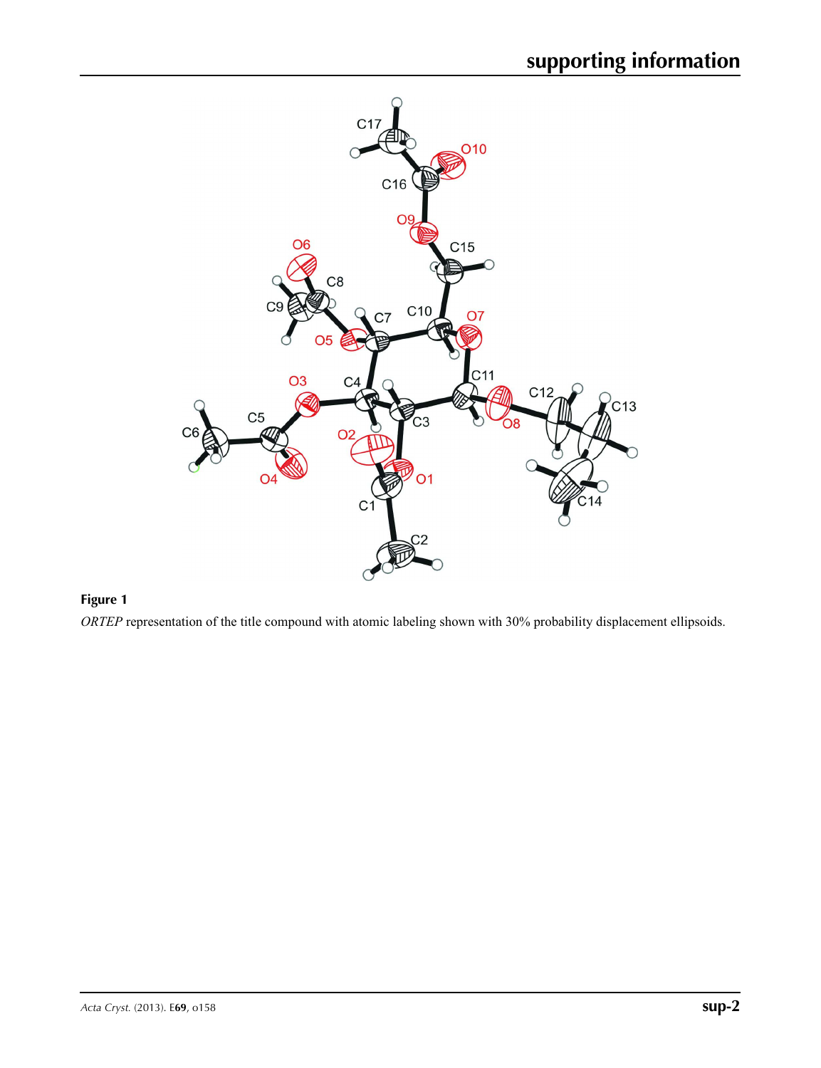

# **Figure 1**

*ORTEP* representation of the title compound with atomic labeling shown with 30% probability displacement ellipsoids.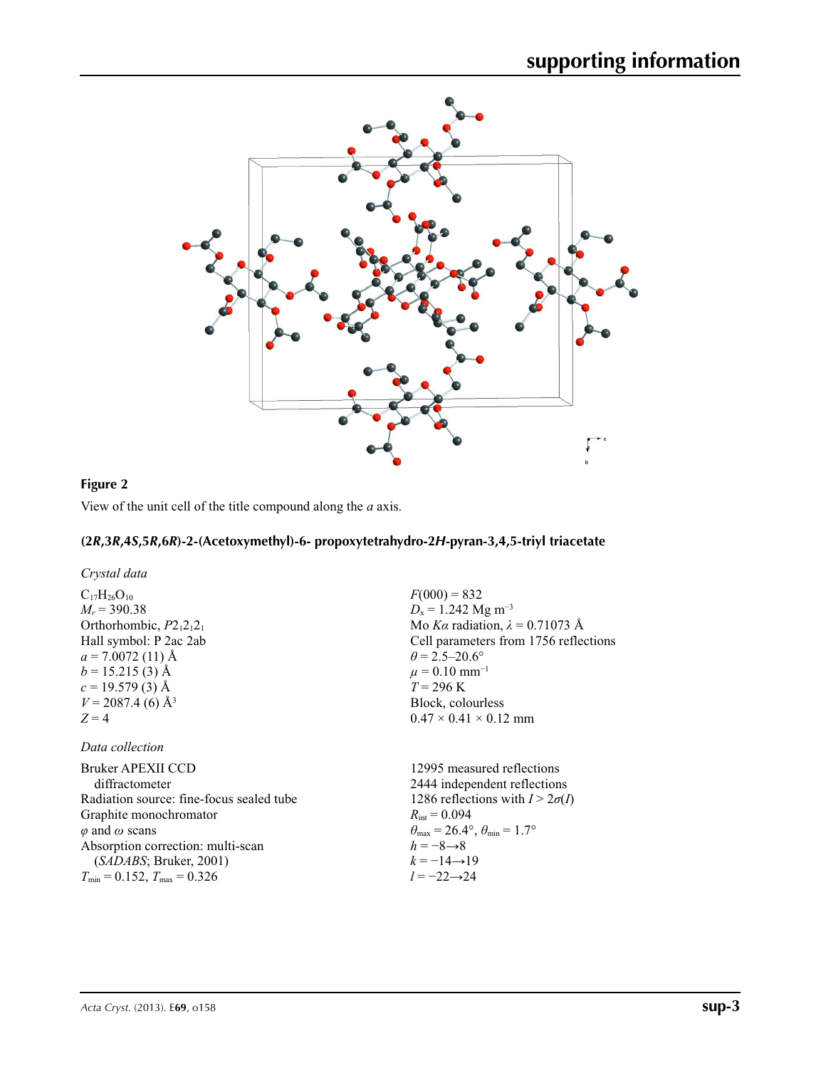

 $F(000) = 832$ *D*<sub>x</sub> = 1.242 Mg m<sup>-3</sup>

 $\theta$  = 2.5–20.6°  $\mu = 0.10$  mm<sup>-1</sup> *T* = 296 K Block, colourless  $0.47 \times 0.41 \times 0.12$  mm

Mo *Kα* radiation,  $\lambda = 0.71073$  Å Cell parameters from 1756 reflections

# **Figure 2**

View of the unit cell of the title compound along the *a* axis.

# **(2***R***,3***R***,4***S***,5***R***,6***R***)-2-(Acetoxymethyl)-6- propoxytetrahydro-2***H***-pyran-3,4,5-triyl triacetate**

*Crystal data*

 $C_{17}H_{26}O_{10}$  $M_r$  = 390.38 Orthorhombic,  $P2_12_12_1$ Hall symbol: P 2ac 2ab  $a = 7.0072(11)$  Å  $b = 15.215(3)$  Å  $c = 19.579(3)$  Å  $V = 2087.4$  (6) Å<sup>3</sup>  $Z = 4$ 

## *Data collection*

| Bruker APEXII CCD                        | 12995 measured reflections                                              |
|------------------------------------------|-------------------------------------------------------------------------|
| diffractometer                           | 2444 independent reflections                                            |
| Radiation source: fine-focus sealed tube | 1286 reflections with $I > 2\sigma(I)$                                  |
| Graphite monochromator                   | $R_{\text{int}} = 0.094$                                                |
| $\varphi$ and $\omega$ scans             | $\theta_{\text{max}} = 26.4^{\circ}, \theta_{\text{min}} = 1.7^{\circ}$ |
| Absorption correction: multi-scan        | $h = -8 \rightarrow 8$                                                  |
| (SADABS; Bruker, 2001)                   | $k = -14 \rightarrow 19$                                                |
| $T_{\min}$ = 0.152, $T_{\max}$ = 0.326   | $l = -22 \rightarrow 24$                                                |
|                                          |                                                                         |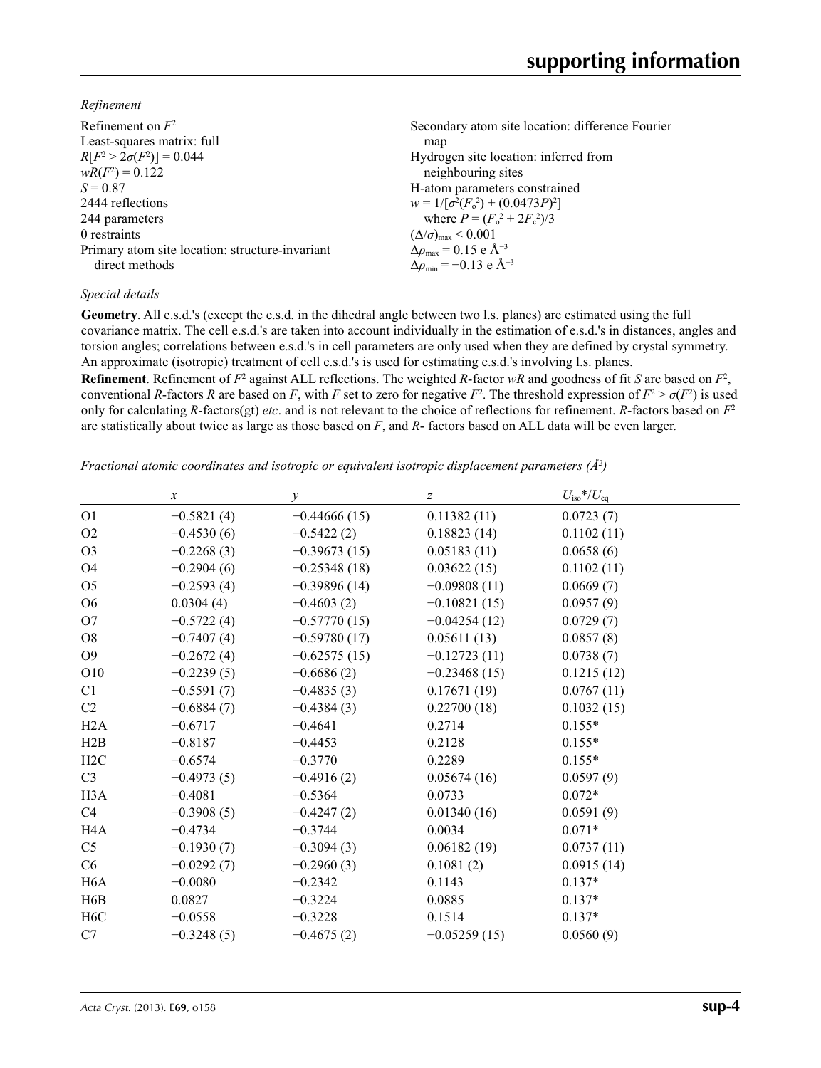*Refinement*

| Refinement on $F^2$<br>Least-squares matrix: full<br>$R[F^2 > 2\sigma(F^2)] = 0.044$<br>$wR(F^2) = 0.122$ | Secondary atom site location: difference Fourier<br>map<br>Hydrogen site location: inferred from<br>neighbouring sites |
|-----------------------------------------------------------------------------------------------------------|------------------------------------------------------------------------------------------------------------------------|
| $S = 0.87$                                                                                                | H-atom parameters constrained                                                                                          |
| 2444 reflections                                                                                          | $w = 1/[\sigma^2(F_0^2) + (0.0473P)^2]$                                                                                |
| 244 parameters                                                                                            | where $P = (F_o^2 + 2F_c^2)/3$                                                                                         |
| 0 restraints                                                                                              | $(\Delta/\sigma)_{\text{max}}$ < 0.001                                                                                 |
| Primary atom site location: structure-invariant                                                           | $\Delta \rho_{\text{max}} = 0.15$ e Å <sup>-3</sup>                                                                    |
| direct methods                                                                                            | $\Delta \rho_{\rm min} = -0.13$ e Å <sup>-3</sup>                                                                      |
|                                                                                                           |                                                                                                                        |

# *Special details*

**Geometry**. All e.s.d.'s (except the e.s.d. in the dihedral angle between two l.s. planes) are estimated using the full covariance matrix. The cell e.s.d.'s are taken into account individually in the estimation of e.s.d.'s in distances, angles and torsion angles; correlations between e.s.d.'s in cell parameters are only used when they are defined by crystal symmetry. An approximate (isotropic) treatment of cell e.s.d.'s is used for estimating e.s.d.'s involving l.s. planes.

**Refinement**. Refinement of  $F^2$  against ALL reflections. The weighted R-factor wR and goodness of fit *S* are based on  $F^2$ , conventional *R*-factors *R* are based on *F*, with *F* set to zero for negative  $F^2$ . The threshold expression of  $F^2 > \sigma(F^2)$  is used only for calculating *R*-factors(gt) *etc*. and is not relevant to the choice of reflections for refinement. *R*-factors based on *F*<sup>2</sup> are statistically about twice as large as those based on *F*, and *R*- factors based on ALL data will be even larger.

*Fractional atomic coordinates and isotropic or equivalent isotropic displacement parameters (Å<sup>2</sup>)* 

|                  | $\boldsymbol{x}$ | $\mathcal{Y}$  | $\mathcal{Z}$  | $U_{\rm iso}$ */ $U_{\rm eq}$ |
|------------------|------------------|----------------|----------------|-------------------------------|
| O <sub>1</sub>   | $-0.5821(4)$     | $-0.44666(15)$ | 0.11382(11)    | 0.0723(7)                     |
| O <sub>2</sub>   | $-0.4530(6)$     | $-0.5422(2)$   | 0.18823(14)    | 0.1102(11)                    |
| O <sub>3</sub>   | $-0.2268(3)$     | $-0.39673(15)$ | 0.05183(11)    | 0.0658(6)                     |
| O <sub>4</sub>   | $-0.2904(6)$     | $-0.25348(18)$ | 0.03622(15)    | 0.1102(11)                    |
| O <sub>5</sub>   | $-0.2593(4)$     | $-0.39896(14)$ | $-0.09808(11)$ | 0.0669(7)                     |
| O <sub>6</sub>   | 0.0304(4)        | $-0.4603(2)$   | $-0.10821(15)$ | 0.0957(9)                     |
| O7               | $-0.5722(4)$     | $-0.57770(15)$ | $-0.04254(12)$ | 0.0729(7)                     |
| O <sub>8</sub>   | $-0.7407(4)$     | $-0.59780(17)$ | 0.05611(13)    | 0.0857(8)                     |
| O <sub>9</sub>   | $-0.2672(4)$     | $-0.62575(15)$ | $-0.12723(11)$ | 0.0738(7)                     |
| O10              | $-0.2239(5)$     | $-0.6686(2)$   | $-0.23468(15)$ | 0.1215(12)                    |
| C1               | $-0.5591(7)$     | $-0.4835(3)$   | 0.17671(19)    | 0.0767(11)                    |
| C <sub>2</sub>   | $-0.6884(7)$     | $-0.4384(3)$   | 0.22700(18)    | 0.1032(15)                    |
| H2A              | $-0.6717$        | $-0.4641$      | 0.2714         | $0.155*$                      |
| H2B              | $-0.8187$        | $-0.4453$      | 0.2128         | $0.155*$                      |
| H2C              | $-0.6574$        | $-0.3770$      | 0.2289         | $0.155*$                      |
| C <sub>3</sub>   | $-0.4973(5)$     | $-0.4916(2)$   | 0.05674(16)    | 0.0597(9)                     |
| H <sub>3</sub> A | $-0.4081$        | $-0.5364$      | 0.0733         | $0.072*$                      |
| C4               | $-0.3908(5)$     | $-0.4247(2)$   | 0.01340(16)    | 0.0591(9)                     |
| H4A              | $-0.4734$        | $-0.3744$      | 0.0034         | $0.071*$                      |
| C <sub>5</sub>   | $-0.1930(7)$     | $-0.3094(3)$   | 0.06182(19)    | 0.0737(11)                    |
| C6               | $-0.0292(7)$     | $-0.2960(3)$   | 0.1081(2)      | 0.0915(14)                    |
| H <sub>6</sub> A | $-0.0080$        | $-0.2342$      | 0.1143         | $0.137*$                      |
| H <sub>6</sub> B | 0.0827           | $-0.3224$      | 0.0885         | $0.137*$                      |
| H <sub>6</sub> C | $-0.0558$        | $-0.3228$      | 0.1514         | $0.137*$                      |
| C7               | $-0.3248(5)$     | $-0.4675(2)$   | $-0.05259(15)$ | 0.0560(9)                     |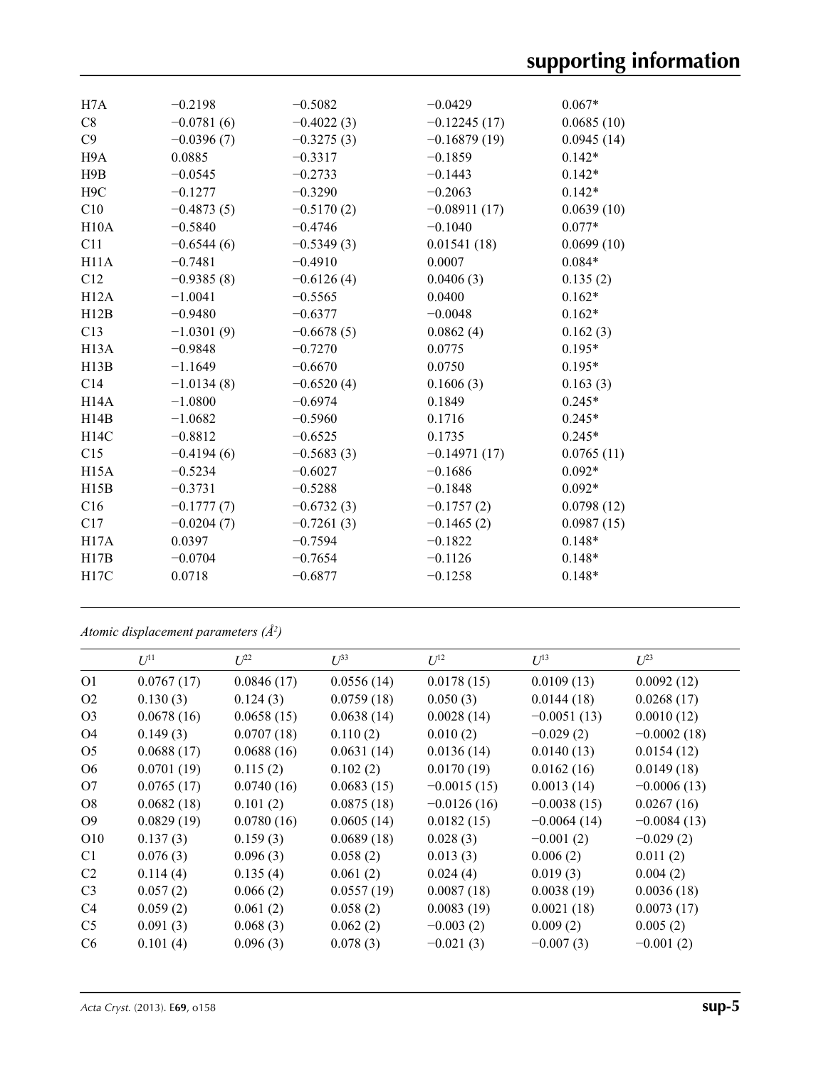| H7A               | $-0.2198$    | $-0.5082$    | $-0.0429$      | $0.067*$   |
|-------------------|--------------|--------------|----------------|------------|
| C8                | $-0.0781(6)$ | $-0.4022(3)$ | $-0.12245(17)$ | 0.0685(10) |
| C9                | $-0.0396(7)$ | $-0.3275(3)$ | $-0.16879(19)$ | 0.0945(14) |
| H <sub>9</sub> A  | 0.0885       | $-0.3317$    | $-0.1859$      | $0.142*$   |
| H9B               | $-0.0545$    | $-0.2733$    | $-0.1443$      | $0.142*$   |
| H <sub>9</sub> C  | $-0.1277$    | $-0.3290$    | $-0.2063$      | $0.142*$   |
| C10               | $-0.4873(5)$ | $-0.5170(2)$ | $-0.08911(17)$ | 0.0639(10) |
| H10A              | $-0.5840$    | $-0.4746$    | $-0.1040$      | $0.077*$   |
| C11               | $-0.6544(6)$ | $-0.5349(3)$ | 0.01541(18)    | 0.0699(10) |
| H11A              | $-0.7481$    | $-0.4910$    | 0.0007         | $0.084*$   |
| C12               | $-0.9385(8)$ | $-0.6126(4)$ | 0.0406(3)      | 0.135(2)   |
| H12A              | $-1.0041$    | $-0.5565$    | 0.0400         | $0.162*$   |
| H12B              | $-0.9480$    | $-0.6377$    | $-0.0048$      | $0.162*$   |
| C13               | $-1.0301(9)$ | $-0.6678(5)$ | 0.0862(4)      | 0.162(3)   |
| H <sub>13</sub> A | $-0.9848$    | $-0.7270$    | 0.0775         | $0.195*$   |
| H13B              | $-1.1649$    | $-0.6670$    | 0.0750         | $0.195*$   |
| C14               | $-1.0134(8)$ | $-0.6520(4)$ | 0.1606(3)      | 0.163(3)   |
| H <sub>14</sub> A | $-1.0800$    | $-0.6974$    | 0.1849         | $0.245*$   |
| H14B              | $-1.0682$    | $-0.5960$    | 0.1716         | $0.245*$   |
| H14C              | $-0.8812$    | $-0.6525$    | 0.1735         | $0.245*$   |
| C15               | $-0.4194(6)$ | $-0.5683(3)$ | $-0.14971(17)$ | 0.0765(11) |
| H15A              | $-0.5234$    | $-0.6027$    | $-0.1686$      | $0.092*$   |
| H15B              | $-0.3731$    | $-0.5288$    | $-0.1848$      | $0.092*$   |
| C16               | $-0.1777(7)$ | $-0.6732(3)$ | $-0.1757(2)$   | 0.0798(12) |
| C17               | $-0.0204(7)$ | $-0.7261(3)$ | $-0.1465(2)$   | 0.0987(15) |
| H17A              | 0.0397       | $-0.7594$    | $-0.1822$      | $0.148*$   |
| H17B              | $-0.0704$    | $-0.7654$    | $-0.1126$      | $0.148*$   |
| H17C              | 0.0718       | $-0.6877$    | $-0.1258$      | $0.148*$   |
|                   |              |              |                |            |

*Atomic displacement parameters (Å2 )*

|                | $U^{11}$   | $U^{22}$   | $U^{33}$   | $U^{12}$      | $U^{13}$      | $U^{23}$      |
|----------------|------------|------------|------------|---------------|---------------|---------------|
| O <sub>1</sub> | 0.0767(17) | 0.0846(17) | 0.0556(14) | 0.0178(15)    | 0.0109(13)    | 0.0092(12)    |
| O <sub>2</sub> | 0.130(3)   | 0.124(3)   | 0.0759(18) | 0.050(3)      | 0.0144(18)    | 0.0268(17)    |
| O <sub>3</sub> | 0.0678(16) | 0.0658(15) | 0.0638(14) | 0.0028(14)    | $-0.0051(13)$ | 0.0010(12)    |
| O <sub>4</sub> | 0.149(3)   | 0.0707(18) | 0.110(2)   | 0.010(2)      | $-0.029(2)$   | $-0.0002(18)$ |
| O <sub>5</sub> | 0.0688(17) | 0.0688(16) | 0.0631(14) | 0.0136(14)    | 0.0140(13)    | 0.0154(12)    |
| O <sub>6</sub> | 0.0701(19) | 0.115(2)   | 0.102(2)   | 0.0170(19)    | 0.0162(16)    | 0.0149(18)    |
| O <sub>7</sub> | 0.0765(17) | 0.0740(16) | 0.0683(15) | $-0.0015(15)$ | 0.0013(14)    | $-0.0006(13)$ |
| O8             | 0.0682(18) | 0.101(2)   | 0.0875(18) | $-0.0126(16)$ | $-0.0038(15)$ | 0.0267(16)    |
| O <sub>9</sub> | 0.0829(19) | 0.0780(16) | 0.0605(14) | 0.0182(15)    | $-0.0064(14)$ | $-0.0084(13)$ |
| O10            | 0.137(3)   | 0.159(3)   | 0.0689(18) | 0.028(3)      | $-0.001(2)$   | $-0.029(2)$   |
| C <sub>1</sub> | 0.076(3)   | 0.096(3)   | 0.058(2)   | 0.013(3)      | 0.006(2)      | 0.011(2)      |
| C <sub>2</sub> | 0.114(4)   | 0.135(4)   | 0.061(2)   | 0.024(4)      | 0.019(3)      | 0.004(2)      |
| C <sub>3</sub> | 0.057(2)   | 0.066(2)   | 0.0557(19) | 0.0087(18)    | 0.0038(19)    | 0.0036(18)    |
| C4             | 0.059(2)   | 0.061(2)   | 0.058(2)   | 0.0083(19)    | 0.0021(18)    | 0.0073(17)    |
| C <sub>5</sub> | 0.091(3)   | 0.068(3)   | 0.062(2)   | $-0.003(2)$   | 0.009(2)      | 0.005(2)      |
| C <sub>6</sub> | 0.101(4)   | 0.096(3)   | 0.078(3)   | $-0.021(3)$   | $-0.007(3)$   | $-0.001(2)$   |
|                |            |            |            |               |               |               |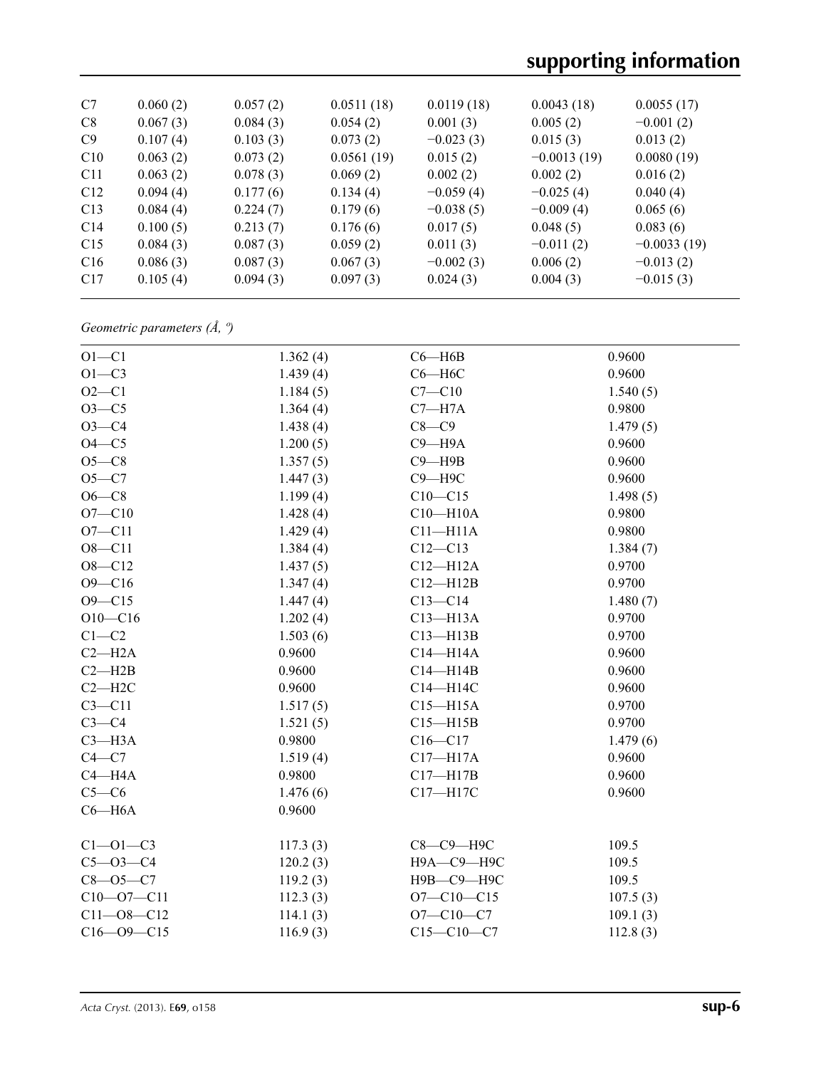# **supporting information**

| C7              | 0.060(2) | 0.057(2) | 0.0511(18) | 0.0119(18)  | 0.0043(18)    | 0.0055(17)    |
|-----------------|----------|----------|------------|-------------|---------------|---------------|
| C8              | 0.067(3) | 0.084(3) | 0.054(2)   | 0.001(3)    | 0.005(2)      | $-0.001(2)$   |
| C9              | 0.107(4) | 0.103(3) | 0.073(2)   | $-0.023(3)$ | 0.015(3)      | 0.013(2)      |
| C10             | 0.063(2) | 0.073(2) | 0.0561(19) | 0.015(2)    | $-0.0013(19)$ | 0.0080(19)    |
| C <sub>11</sub> | 0.063(2) | 0.078(3) | 0.069(2)   | 0.002(2)    | 0.002(2)      | 0.016(2)      |
| C12             | 0.094(4) | 0.177(6) | 0.134(4)   | $-0.059(4)$ | $-0.025(4)$   | 0.040(4)      |
| C13             | 0.084(4) | 0.224(7) | 0.179(6)   | $-0.038(5)$ | $-0.009(4)$   | 0.065(6)      |
| C14             | 0.100(5) | 0.213(7) | 0.176(6)   | 0.017(5)    | 0.048(5)      | 0.083(6)      |
| C15             | 0.084(3) | 0.087(3) | 0.059(2)   | 0.011(3)    | $-0.011(2)$   | $-0.0033(19)$ |
| C16             | 0.086(3) | 0.087(3) | 0.067(3)   | $-0.002(3)$ | 0.006(2)      | $-0.013(2)$   |
| C17             | 0.105(4) | 0.094(3) | 0.097(3)   | 0.024(3)    | 0.004(3)      | $-0.015(3)$   |
|                 |          |          |            |             |               |               |

*Geometric parameters (Å, º)*

| $O1 - C1$        | 1.362(4) | $C6 - H6B$       | 0.9600   |
|------------------|----------|------------------|----------|
| $O1 - C3$        | 1.439(4) | $C6 - H6C$       | 0.9600   |
| $O2 - C1$        | 1.184(5) | $C7 - C10$       | 1.540(5) |
| $O3 - C5$        | 1.364(4) | $C7 - H7A$       | 0.9800   |
| $O3 - C4$        | 1.438(4) | $C8-C9$          | 1.479(5) |
| $O4-C5$          | 1.200(5) | $C9 - H9A$       | 0.9600   |
| $O5-C8$          | 1.357(5) | $C9 - H9B$       | 0.9600   |
| $O5-C7$          | 1.447(3) | $C9 - H9C$       | 0.9600   |
| $O6-C8$          | 1.199(4) | $C10 - C15$      | 1.498(5) |
| $O7 - C10$       | 1.428(4) | $C10 - H10A$     | 0.9800   |
| $O7 - C11$       | 1.429(4) | $C11 - H11A$     | 0.9800   |
| $O8 - C11$       | 1.384(4) | $C12 - C13$      | 1.384(7) |
| $O8 - C12$       | 1.437(5) | $C12 - H12A$     | 0.9700   |
| $O9 - C16$       | 1.347(4) | $C12 - H12B$     | 0.9700   |
| $O9 - C15$       | 1.447(4) | $C13 - C14$      | 1.480(7) |
| $O10 - C16$      | 1.202(4) | $C13 - H13A$     | 0.9700   |
| $C1-C2$          | 1.503(6) | $C13 - H13B$     | 0.9700   |
| $C2 - H2A$       | 0.9600   | $C14 - H14A$     | 0.9600   |
| $C2 - H2B$       | 0.9600   | $C14 - H14B$     | 0.9600   |
| $C2 - H2C$       | 0.9600   | C14-H14C         | 0.9600   |
| $C3 - C11$       | 1.517(5) | $C15 - H15A$     | 0.9700   |
| $C3-C4$          | 1.521(5) | $C15 - H15B$     | 0.9700   |
| $C3 - H3A$       | 0.9800   | $C16 - C17$      | 1.479(6) |
| $C4 - C7$        | 1.519(4) | $C17 - H17A$     | 0.9600   |
| $C4 - H4A$       | 0.9800   | $C17 - H17B$     | 0.9600   |
| $C5-C6$          | 1.476(6) | C17-H17C         | 0.9600   |
| $C6 - H6A$       | 0.9600   |                  |          |
| $C1 - 01 - C3$   | 117.3(3) | С8-С9-Н9С        | 109.5    |
| $C5 - O3 - C4$   | 120.2(3) | Н9А-С9-Н9С       | 109.5    |
| $C8 - O5 - C7$   | 119.2(3) | Н9В-С9-Н9С       | 109.5    |
| $C10 - 07 - C11$ | 112.3(3) | $O7 - C10 - C15$ | 107.5(3) |
| $C11 - 08 - C12$ | 114.1(3) | $O7 - C10 - C7$  | 109.1(3) |
| $C16 - 09 - C15$ | 116.9(3) | $C15 - C10 - C7$ | 112.8(3) |
|                  |          |                  |          |